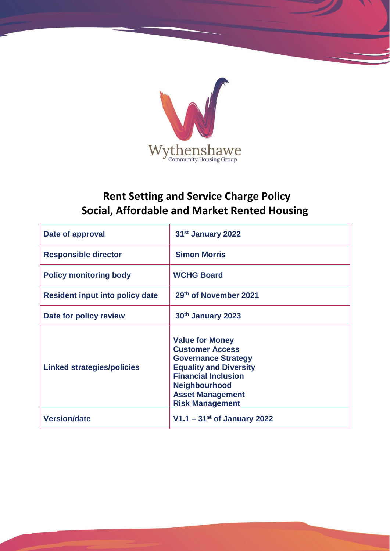

# **Rent Setting and Service Charge Policy Social, Affordable and Market Rented Housing**

| Date of approval                       | 31 <sup>st</sup> January 2022                                                                                                                                                                                              |
|----------------------------------------|----------------------------------------------------------------------------------------------------------------------------------------------------------------------------------------------------------------------------|
| <b>Responsible director</b>            | <b>Simon Morris</b>                                                                                                                                                                                                        |
| <b>Policy monitoring body</b>          | <b>WCHG Board</b>                                                                                                                                                                                                          |
| <b>Resident input into policy date</b> | 29th of November 2021                                                                                                                                                                                                      |
| Date for policy review                 | 30th January 2023                                                                                                                                                                                                          |
| Linked strategies/policies             | <b>Value for Money</b><br><b>Customer Access</b><br><b>Governance Strategy</b><br><b>Equality and Diversity</b><br><b>Financial Inclusion</b><br><b>Neighbourhood</b><br><b>Asset Management</b><br><b>Risk Management</b> |
| <b>Version/date</b>                    | $V1.1 - 31st$ of January 2022                                                                                                                                                                                              |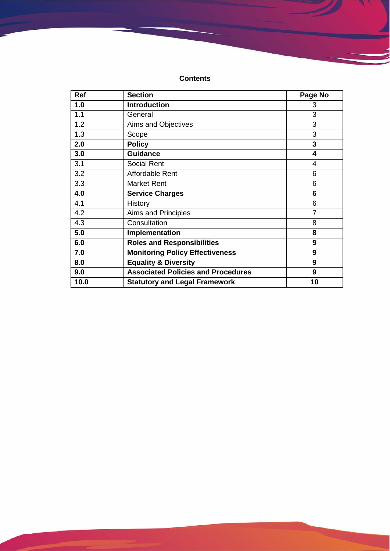**Contents**

| <b>Ref</b> | <b>Section</b>                            | Page No |
|------------|-------------------------------------------|---------|
| 1.0        | <b>Introduction</b>                       | 3       |
| 1.1        | General                                   | 3       |
| 1.2        | Aims and Objectives                       | 3       |
| 1.3        | Scope                                     | 3       |
| 2.0        | <b>Policy</b>                             | 3       |
| 3.0        | <b>Guidance</b>                           | 4       |
| 3.1        | <b>Social Rent</b>                        | 4       |
| 3.2        | Affordable Rent                           | 6       |
| 3.3        | <b>Market Rent</b>                        | 6       |
| 4.0        | <b>Service Charges</b>                    | 6       |
| 4.1        | History                                   | 6       |
| 4.2        | Aims and Principles                       |         |
| 4.3        | Consultation                              | 8       |
| 5.0        | Implementation                            | 8       |
| 6.0        | <b>Roles and Responsibilities</b>         | 9       |
| 7.0        | <b>Monitoring Policy Effectiveness</b>    | 9       |
| 8.0        | <b>Equality &amp; Diversity</b>           | 9       |
| 9.0        | <b>Associated Policies and Procedures</b> | 9       |
| 10.0       | <b>Statutory and Legal Framework</b>      | 10      |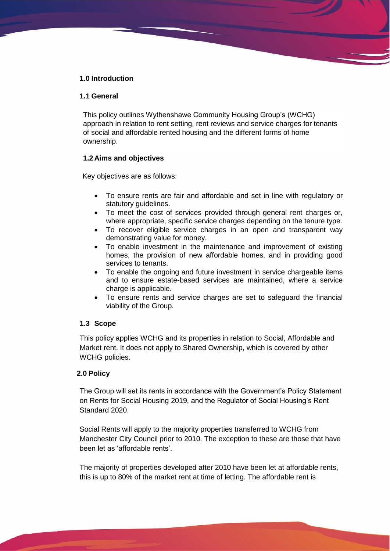# **1.0 Introduction**

### **1.1 General**

This policy outlines Wythenshawe Community Housing Group's (WCHG) approach in relation to rent setting, rent reviews and service charges for tenants of social and affordable rented housing and the different forms of home ownership.

## **1.2 Aims and objectives**

Key objectives are as follows:

- To ensure rents are fair and affordable and set in line with regulatory or statutory guidelines.
- To meet the cost of services provided through general rent charges or, where appropriate, specific service charges depending on the tenure type.
- To recover eligible service charges in an open and transparent way demonstrating value for money.
- To enable investment in the maintenance and improvement of existing homes, the provision of new affordable homes, and in providing good services to tenants.
- To enable the ongoing and future investment in service chargeable items and to ensure estate-based services are maintained, where a service charge is applicable.
- To ensure rents and service charges are set to safeguard the financial viability of the Group.

# **1.3 Scope**

This policy applies WCHG and its properties in relation to Social, Affordable and Market rent. It does not apply to Shared Ownership, which is covered by other WCHG policies.

#### **2.0 Policy**

The Group will set its rents in accordance with the Government's Policy Statement on Rents for Social Housing 2019, and the Regulator of Social Housing's Rent Standard 2020.

Social Rents will apply to the majority properties transferred to WCHG from Manchester City Council prior to 2010. The exception to these are those that have been let as 'affordable rents'.

The majority of properties developed after 2010 have been let at affordable rents, this is up to 80% of the market rent at time of letting. The affordable rent is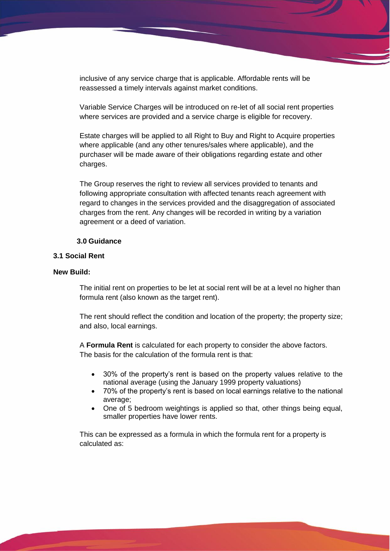inclusive of any service charge that is applicable. Affordable rents will be reassessed a timely intervals against market conditions.

Variable Service Charges will be introduced on re-let of all social rent properties where services are provided and a service charge is eligible for recovery.

Estate charges will be applied to all Right to Buy and Right to Acquire properties where applicable (and any other tenures/sales where applicable), and the purchaser will be made aware of their obligations regarding estate and other charges.

The Group reserves the right to review all services provided to tenants and following appropriate consultation with affected tenants reach agreement with regard to changes in the services provided and the disaggregation of associated charges from the rent. Any changes will be recorded in writing by a variation agreement or a deed of variation.

#### **3.0 Guidance**

# **3.1 Social Rent**

## **New Build:**

The initial rent on properties to be let at social rent will be at a level no higher than formula rent (also known as the target rent).

The rent should reflect the condition and location of the property; the property size; and also, local earnings.

A **Formula Rent** is calculated for each property to consider the above factors. The basis for the calculation of the formula rent is that:

- 30% of the property's rent is based on the property values relative to the national average (using the January 1999 property valuations)
- 70% of the property's rent is based on local earnings relative to the national average;
- One of 5 bedroom weightings is applied so that, other things being equal, smaller properties have lower rents.

This can be expressed as a formula in which the formula rent for a property is calculated as: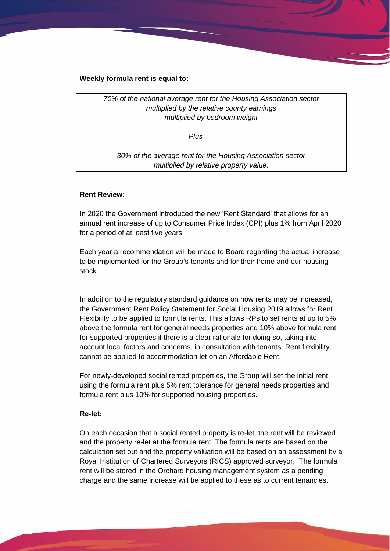# **Weekly formula rent is equal to:**

*70% of the national average rent for the Housing Association sector multiplied by the relative county earnings multiplied by bedroom weight*

*Plus*

*30% of the average rent for the Housing Association sector multiplied by relative property value.*

#### **Rent Review:**

In 2020 the Government introduced the new 'Rent Standard' that allows for an annual rent increase of up to Consumer Price Index (CPI) plus 1% from April 2020 for a period of at least five years.

Each year a recommendation will be made to Board regarding the actual increase to be implemented for the Group's tenants and for their home and our housing stock.

In addition to the regulatory standard guidance on how rents may be increased, the Government Rent Policy Statement for Social Housing 2019 allows for Rent Flexibility to be applied to formula rents. This allows RPs to set rents at up to 5% above the formula rent for general needs properties and 10% above formula rent for supported properties if there is a clear rationale for doing so, taking into account local factors and concerns, in consultation with tenants. Rent flexibility cannot be applied to accommodation let on an Affordable Rent.

For newly-developed social rented properties, the Group will set the initial rent using the formula rent plus 5% rent tolerance for general needs properties and formula rent plus 10% for supported housing properties.

#### **Re-let:**

On each occasion that a social rented property is re-let, the rent will be reviewed and the property re-let at the formula rent. The formula rents are based on the calculation set out and the property valuation will be based on an assessment by a Royal Institution of Chartered Surveyors (RICS) approved surveyor. The formula rent will be stored in the Orchard housing management system as a pending charge and the same increase will be applied to these as to current tenancies.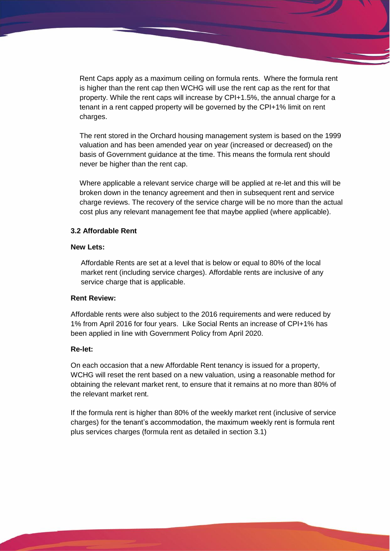Rent Caps apply as a maximum ceiling on formula rents. Where the formula rent is higher than the rent cap then WCHG will use the rent cap as the rent for that property. While the rent caps will increase by CPI+1.5%, the annual charge for a tenant in a rent capped property will be governed by the CPI+1% limit on rent charges.

The rent stored in the Orchard housing management system is based on the 1999 valuation and has been amended year on year (increased or decreased) on the basis of Government guidance at the time. This means the formula rent should never be higher than the rent cap.

Where applicable a relevant service charge will be applied at re-let and this will be broken down in the tenancy agreement and then in subsequent rent and service charge reviews. The recovery of the service charge will be no more than the actual cost plus any relevant management fee that maybe applied (where applicable).

#### **3.2 Affordable Rent**

# **New Lets:**

Affordable Rents are set at a level that is below or equal to 80% of the local market rent (including service charges). Affordable rents are inclusive of any service charge that is applicable.

### **Rent Review:**

Affordable rents were also subject to the 2016 requirements and were reduced by 1% from April 2016 for four years. Like Social Rents an increase of CPI+1% has been applied in line with Government Policy from April 2020.

#### **Re-let:**

On each occasion that a new Affordable Rent tenancy is issued for a property, WCHG will reset the rent based on a new valuation, using a reasonable method for obtaining the relevant market rent, to ensure that it remains at no more than 80% of the relevant market rent.

If the formula rent is higher than 80% of the weekly market rent (inclusive of service charges) for the tenant's accommodation, the maximum weekly rent is formula rent plus services charges (formula rent as detailed in section 3.1)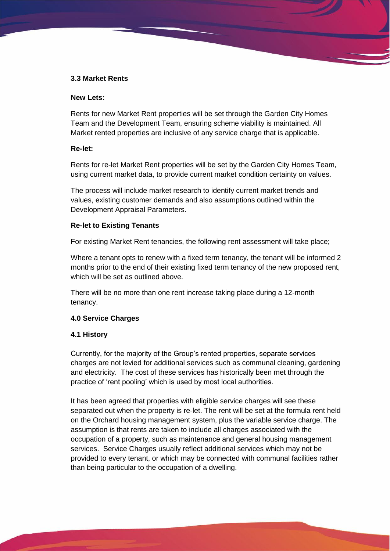### **3.3 Market Rents**

#### **New Lets:**

Rents for new Market Rent properties will be set through the Garden City Homes Team and the Development Team, ensuring scheme viability is maintained. All Market rented properties are inclusive of any service charge that is applicable.

#### **Re-let:**

Rents for re-let Market Rent properties will be set by the Garden City Homes Team, using current market data, to provide current market condition certainty on values.

The process will include market research to identify current market trends and values, existing customer demands and also assumptions outlined within the Development Appraisal Parameters.

#### **Re-let to Existing Tenants**

For existing Market Rent tenancies, the following rent assessment will take place;

Where a tenant opts to renew with a fixed term tenancy, the tenant will be informed 2 months prior to the end of their existing fixed term tenancy of the new proposed rent, which will be set as outlined above.

There will be no more than one rent increase taking place during a 12-month tenancy.

#### **4.0 Service Charges**

#### **4.1 History**

Currently, for the majority of the Group's rented properties, separate services charges are not levied for additional services such as communal cleaning, gardening and electricity. The cost of these services has historically been met through the practice of 'rent pooling' which is used by most local authorities.

It has been agreed that properties with eligible service charges will see these separated out when the property is re-let. The rent will be set at the formula rent held on the Orchard housing management system, plus the variable service charge. The assumption is that rents are taken to include all charges associated with the occupation of a property, such as maintenance and general housing management services. Service Charges usually reflect additional services which may not be provided to every tenant, or which may be connected with communal facilities rather than being particular to the occupation of a dwelling.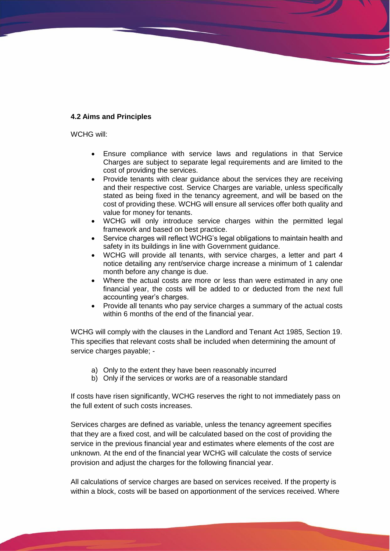# **4.2 Aims and Principles**

### WCHG will:

- Ensure compliance with service laws and regulations in that Service Charges are subject to separate legal requirements and are limited to the cost of providing the services.
- Provide tenants with clear guidance about the services they are receiving and their respective cost. Service Charges are variable, unless specifically stated as being fixed in the tenancy agreement, and will be based on the cost of providing these. WCHG will ensure all services offer both quality and value for money for tenants.
- WCHG will only introduce service charges within the permitted legal framework and based on best practice.
- Service charges will reflect WCHG's legal obligations to maintain health and safety in its buildings in line with Government guidance.
- WCHG will provide all tenants, with service charges, a letter and part 4 notice detailing any rent/service charge increase a minimum of 1 calendar month before any change is due.
- Where the actual costs are more or less than were estimated in any one financial year, the costs will be added to or deducted from the next full accounting year's charges.
- Provide all tenants who pay service charges a summary of the actual costs within 6 months of the end of the financial year.

WCHG will comply with the clauses in the Landlord and Tenant Act 1985, Section 19. This specifies that relevant costs shall be included when determining the amount of service charges payable; -

- a) Only to the extent they have been reasonably incurred
- b) Only if the services or works are of a reasonable standard

If costs have risen significantly, WCHG reserves the right to not immediately pass on the full extent of such costs increases.

Services charges are defined as variable, unless the tenancy agreement specifies that they are a fixed cost, and will be calculated based on the cost of providing the service in the previous financial year and estimates where elements of the cost are unknown. At the end of the financial year WCHG will calculate the costs of service provision and adjust the charges for the following financial year.

All calculations of service charges are based on services received. If the property is within a block, costs will be based on apportionment of the services received. Where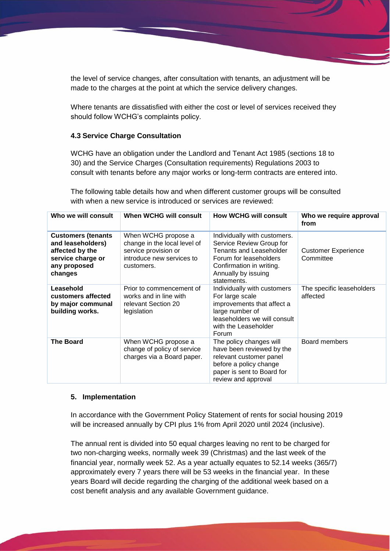the level of service changes, after consultation with tenants, an adjustment will be made to the charges at the point at which the service delivery changes.

Where tenants are dissatisfied with either the cost or level of services received they should follow WCHG's complaints policy.

## **4.3 Service Charge Consultation**

WCHG have an obligation under the Landlord and Tenant Act 1985 (sections 18 to 30) and the Service Charges (Consultation requirements) Regulations 2003 to consult with tenants before any major works or long-term contracts are entered into.

The following table details how and when different customer groups will be consulted with when a new service is introduced or services are reviewed:

| Who we will consult                                                                                               | When WCHG will consult                                                                                                 | <b>How WCHG will consult</b>                                                                                                                                                           | Who we require approval<br>from         |
|-------------------------------------------------------------------------------------------------------------------|------------------------------------------------------------------------------------------------------------------------|----------------------------------------------------------------------------------------------------------------------------------------------------------------------------------------|-----------------------------------------|
| <b>Customers (tenants</b><br>and leaseholders)<br>affected by the<br>service charge or<br>any proposed<br>changes | When WCHG propose a<br>change in the local level of<br>service provision or<br>introduce new services to<br>customers. | Individually with customers.<br>Service Review Group for<br><b>Tenants and Leaseholder</b><br>Forum for leaseholders<br>Confirmation in writing.<br>Annually by issuing<br>statements. | <b>Customer Experience</b><br>Committee |
| Leasehold<br>customers affected<br>by major communal<br>building works.                                           | Prior to commencement of<br>works and in line with<br>relevant Section 20<br>legislation                               | Individually with customers<br>For large scale<br>improvements that affect a<br>large number of<br>leaseholders we will consult<br>with the Leaseholder<br>Forum                       | The specific leaseholders<br>affected   |
| <b>The Board</b>                                                                                                  | When WCHG propose a<br>change of policy of service<br>charges via a Board paper.                                       | The policy changes will<br>have been reviewed by the<br>relevant customer panel<br>before a policy change<br>paper is sent to Board for<br>review and approval                         | Board members                           |

#### **5. Implementation**

In accordance with the Government Policy Statement of rents for social housing 2019 will be increased annually by CPI plus 1% from April 2020 until 2024 (inclusive).

The annual rent is divided into 50 equal charges leaving no rent to be charged for two non-charging weeks, normally week 39 (Christmas) and the last week of the financial year, normally week 52. As a year actually equates to 52.14 weeks (365/7) approximately every 7 years there will be 53 weeks in the financial year. In these years Board will decide regarding the charging of the additional week based on a cost benefit analysis and any available Government guidance.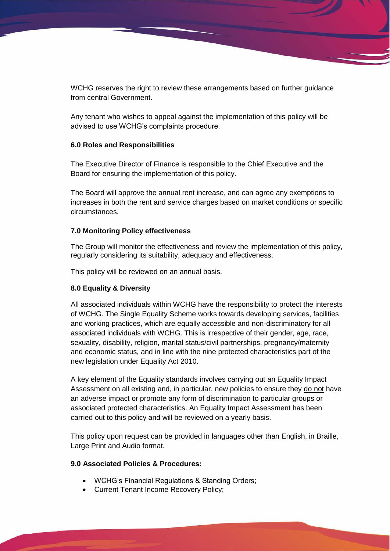WCHG reserves the right to review these arrangements based on further guidance from central Government.

Any tenant who wishes to appeal against the implementation of this policy will be advised to use WCHG's complaints procedure.

#### **6.0 Roles and Responsibilities**

The Executive Director of Finance is responsible to the Chief Executive and the Board for ensuring the implementation of this policy.

The Board will approve the annual rent increase, and can agree any exemptions to increases in both the rent and service charges based on market conditions or specific circumstances.

#### **7.0 Monitoring Policy effectiveness**

The Group will monitor the effectiveness and review the implementation of this policy, regularly considering its suitability, adequacy and effectiveness.

This policy will be reviewed on an annual basis.

#### **8.0 Equality & Diversity**

All associated individuals within WCHG have the responsibility to protect the interests of WCHG. The Single Equality Scheme works towards developing services, facilities and working practices, which are equally accessible and non-discriminatory for all associated individuals with WCHG. This is irrespective of their gender, age, race, sexuality, disability, religion, marital status/civil partnerships, pregnancy/maternity and economic status, and in line with the nine protected characteristics part of the new legislation under Equality Act 2010.

A key element of the Equality standards involves carrying out an Equality Impact Assessment on all existing and, in particular, new policies to ensure they do not have an adverse impact or promote any form of discrimination to particular groups or associated protected characteristics. An Equality Impact Assessment has been carried out to this policy and will be reviewed on a yearly basis.

This policy upon request can be provided in languages other than English, in Braille, Large Print and Audio format.

# **9.0 Associated Policies & Procedures:**

- WCHG's Financial Regulations & Standing Orders;
- Current Tenant Income Recovery Policy;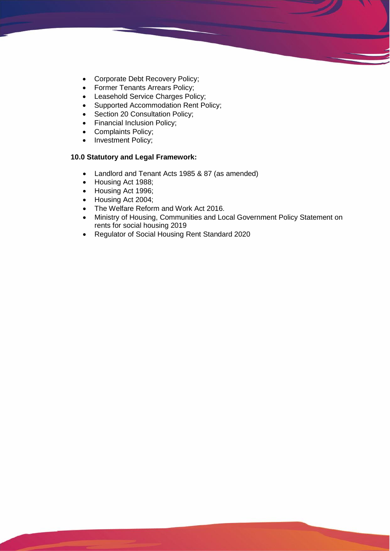- Corporate Debt Recovery Policy;
- Former Tenants Arrears Policy;
- Leasehold Service Charges Policy;
- Supported Accommodation Rent Policy;
- Section 20 Consultation Policy;
- Financial Inclusion Policy;
- Complaints Policy;
- Investment Policy;

# **10.0 Statutory and Legal Framework:**

- Landlord and Tenant Acts 1985 & 87 (as amended)
- Housing Act 1988;
- Housing Act 1996;
- Housing Act 2004;
- The Welfare Reform and Work Act 2016.
- Ministry of Housing, Communities and Local Government Policy Statement on rents for social housing 2019
- Regulator of Social Housing Rent Standard 2020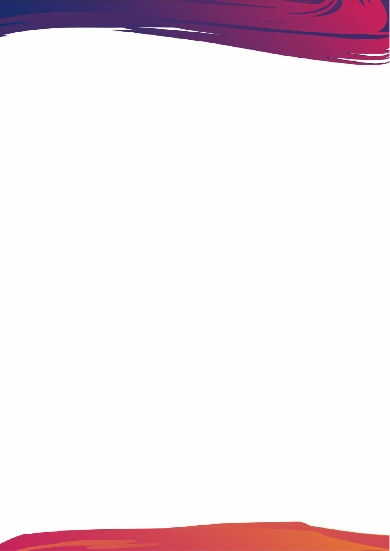